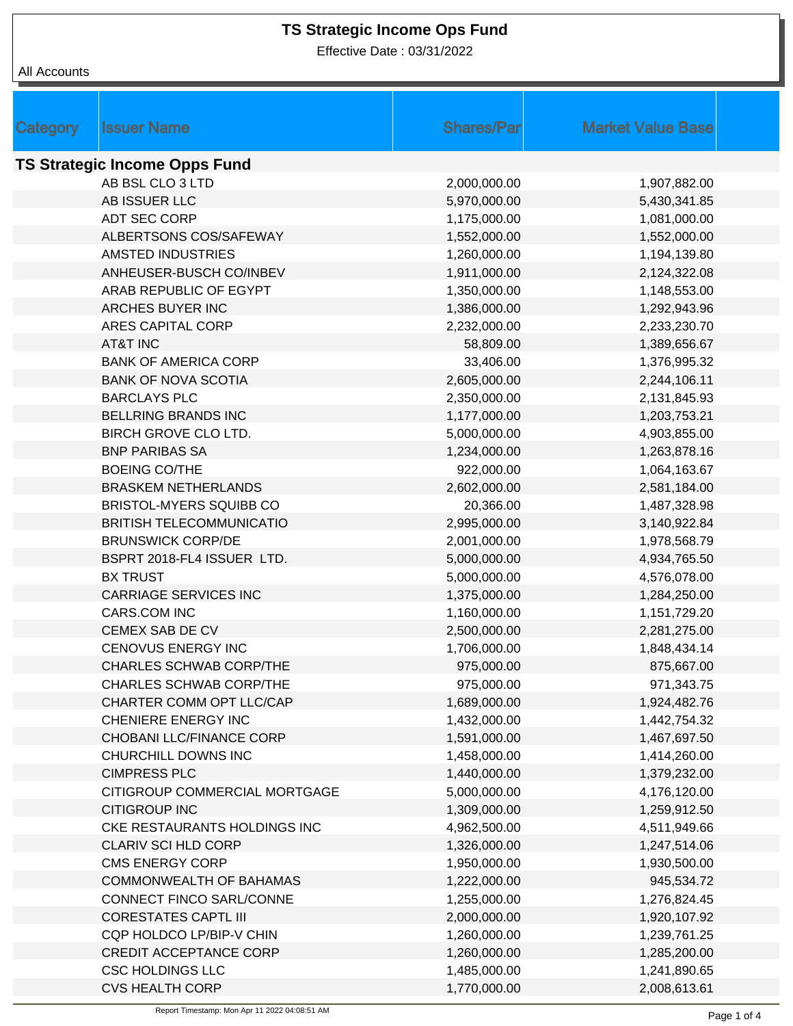Effective Date : 03/31/2022

| <b>Category</b>                      | <b>Issuer Name</b>              | <b>Shares/Parl</b> | <b>Market Value Base</b> |  |  |
|--------------------------------------|---------------------------------|--------------------|--------------------------|--|--|
|                                      |                                 |                    |                          |  |  |
| <b>TS Strategic Income Opps Fund</b> |                                 |                    |                          |  |  |
|                                      | AB BSL CLO 3 LTD                | 2,000,000.00       | 1,907,882.00             |  |  |
|                                      | AB ISSUER LLC                   | 5,970,000.00       | 5,430,341.85             |  |  |
|                                      | ADT SEC CORP                    | 1,175,000.00       | 1,081,000.00             |  |  |
|                                      | ALBERTSONS COS/SAFEWAY          | 1,552,000.00       | 1,552,000.00             |  |  |
|                                      | AMSTED INDUSTRIES               | 1,260,000.00       | 1,194,139.80             |  |  |
|                                      | ANHEUSER-BUSCH CO/INBEV         | 1,911,000.00       | 2,124,322.08             |  |  |
|                                      | ARAB REPUBLIC OF EGYPT          | 1,350,000.00       | 1,148,553.00             |  |  |
|                                      | ARCHES BUYER INC                | 1,386,000.00       | 1,292,943.96             |  |  |
|                                      | ARES CAPITAL CORP               | 2,232,000.00       | 2,233,230.70             |  |  |
|                                      | <b>AT&amp;T INC</b>             | 58,809.00          | 1,389,656.67             |  |  |
|                                      | <b>BANK OF AMERICA CORP</b>     | 33,406.00          | 1,376,995.32             |  |  |
|                                      | <b>BANK OF NOVA SCOTIA</b>      | 2,605,000.00       | 2,244,106.11             |  |  |
|                                      | <b>BARCLAYS PLC</b>             | 2,350,000.00       | 2,131,845.93             |  |  |
|                                      | <b>BELLRING BRANDS INC</b>      | 1,177,000.00       | 1,203,753.21             |  |  |
|                                      | BIRCH GROVE CLO LTD.            | 5,000,000.00       | 4,903,855.00             |  |  |
|                                      | <b>BNP PARIBAS SA</b>           | 1,234,000.00       | 1,263,878.16             |  |  |
|                                      | <b>BOEING CO/THE</b>            | 922,000.00         | 1,064,163.67             |  |  |
|                                      | <b>BRASKEM NETHERLANDS</b>      | 2,602,000.00       | 2,581,184.00             |  |  |
|                                      | BRISTOL-MYERS SQUIBB CO         | 20,366.00          | 1,487,328.98             |  |  |
|                                      | <b>BRITISH TELECOMMUNICATIO</b> | 2,995,000.00       | 3,140,922.84             |  |  |
|                                      | <b>BRUNSWICK CORP/DE</b>        | 2,001,000.00       | 1,978,568.79             |  |  |
|                                      | BSPRT 2018-FL4 ISSUER LTD.      | 5,000,000.00       | 4,934,765.50             |  |  |
|                                      | <b>BX TRUST</b>                 | 5,000,000.00       | 4,576,078.00             |  |  |
|                                      | <b>CARRIAGE SERVICES INC</b>    | 1,375,000.00       | 1,284,250.00             |  |  |
|                                      | CARS.COM INC                    | 1,160,000.00       | 1,151,729.20             |  |  |
|                                      | CEMEX SAB DE CV                 | 2,500,000.00       | 2,281,275.00             |  |  |
|                                      | <b>CENOVUS ENERGY INC</b>       | 1,706,000.00       | 1,848,434.14             |  |  |
|                                      | <b>CHARLES SCHWAB CORP/THE</b>  | 975,000.00         | 875,667.00               |  |  |
|                                      | <b>CHARLES SCHWAB CORP/THE</b>  | 975,000.00         | 971,343.75               |  |  |
|                                      | CHARTER COMM OPT LLC/CAP        | 1,689,000.00       | 1,924,482.76             |  |  |
|                                      | CHENIERE ENERGY INC             | 1,432,000.00       | 1,442,754.32             |  |  |
|                                      | CHOBANI LLC/FINANCE CORP        | 1,591,000.00       | 1,467,697.50             |  |  |
|                                      | CHURCHILL DOWNS INC             | 1,458,000.00       | 1,414,260.00             |  |  |
|                                      | <b>CIMPRESS PLC</b>             | 1,440,000.00       | 1,379,232.00             |  |  |
|                                      | CITIGROUP COMMERCIAL MORTGAGE   | 5,000,000.00       | 4,176,120.00             |  |  |
|                                      | <b>CITIGROUP INC</b>            | 1,309,000.00       | 1,259,912.50             |  |  |
|                                      | CKE RESTAURANTS HOLDINGS INC    | 4,962,500.00       | 4,511,949.66             |  |  |
|                                      | CLARIV SCI HLD CORP             | 1,326,000.00       | 1,247,514.06             |  |  |
|                                      | <b>CMS ENERGY CORP</b>          | 1,950,000.00       | 1,930,500.00             |  |  |
|                                      | COMMONWEALTH OF BAHAMAS         | 1,222,000.00       | 945,534.72               |  |  |
|                                      | CONNECT FINCO SARL/CONNE        | 1,255,000.00       | 1,276,824.45             |  |  |
|                                      | <b>CORESTATES CAPTL III</b>     | 2,000,000.00       | 1,920,107.92             |  |  |
|                                      | CQP HOLDCO LP/BIP-V CHIN        | 1,260,000.00       | 1,239,761.25             |  |  |
|                                      | <b>CREDIT ACCEPTANCE CORP</b>   | 1,260,000.00       | 1,285,200.00             |  |  |
|                                      | <b>CSC HOLDINGS LLC</b>         | 1,485,000.00       | 1,241,890.65             |  |  |
|                                      | <b>CVS HEALTH CORP</b>          | 1,770,000.00       | 2,008,613.61             |  |  |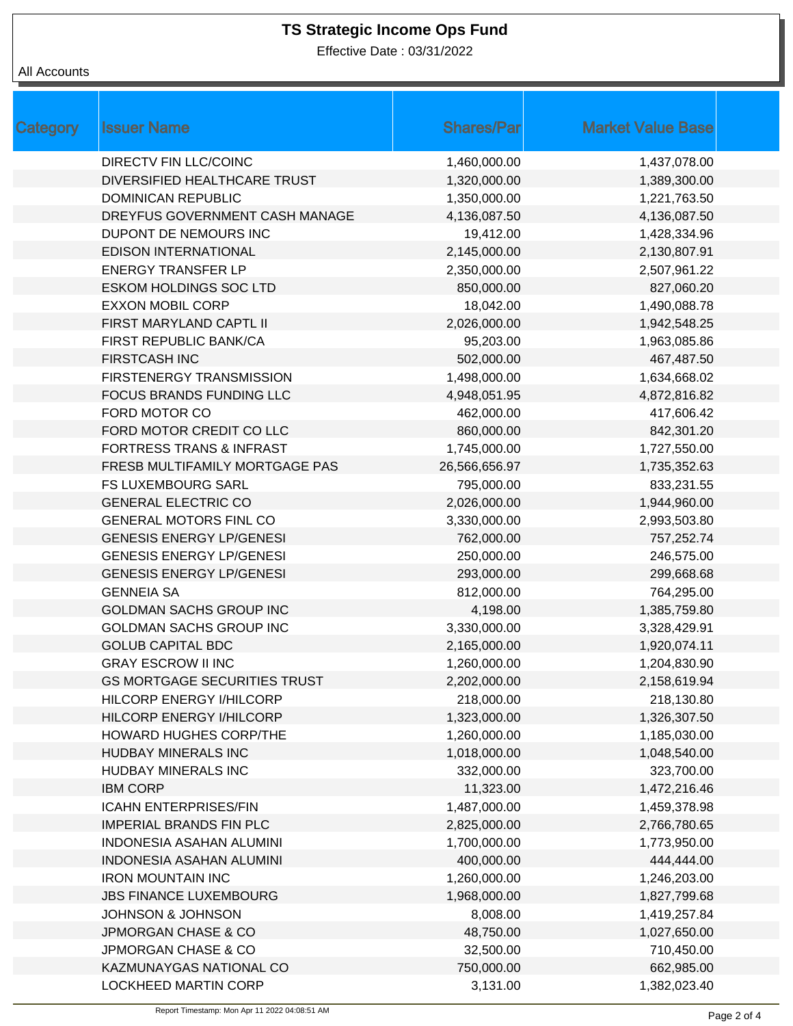Effective Date : 03/31/2022

| Category | <b>Issuer Name</b>                  | <b>Shares/Par</b> | <b>Market Value Base</b> |
|----------|-------------------------------------|-------------------|--------------------------|
|          | <b>DIRECTV FIN LLC/COINC</b>        | 1,460,000.00      | 1,437,078.00             |
|          | DIVERSIFIED HEALTHCARE TRUST        | 1,320,000.00      | 1,389,300.00             |
|          | <b>DOMINICAN REPUBLIC</b>           | 1,350,000.00      | 1,221,763.50             |
|          | DREYFUS GOVERNMENT CASH MANAGE      | 4,136,087.50      | 4,136,087.50             |
|          | DUPONT DE NEMOURS INC               | 19,412.00         | 1,428,334.96             |
|          | <b>EDISON INTERNATIONAL</b>         | 2,145,000.00      | 2,130,807.91             |
|          | <b>ENERGY TRANSFER LP</b>           | 2,350,000.00      | 2,507,961.22             |
|          | <b>ESKOM HOLDINGS SOC LTD</b>       | 850,000.00        | 827,060.20               |
|          | <b>EXXON MOBIL CORP</b>             | 18,042.00         | 1,490,088.78             |
|          | FIRST MARYLAND CAPTL II             | 2,026,000.00      | 1,942,548.25             |
|          | FIRST REPUBLIC BANK/CA              | 95,203.00         | 1,963,085.86             |
|          | <b>FIRSTCASH INC</b>                | 502,000.00        | 467,487.50               |
|          | <b>FIRSTENERGY TRANSMISSION</b>     | 1,498,000.00      | 1,634,668.02             |
|          | FOCUS BRANDS FUNDING LLC            | 4,948,051.95      | 4,872,816.82             |
|          | FORD MOTOR CO                       | 462,000.00        | 417,606.42               |
|          | FORD MOTOR CREDIT CO LLC            | 860,000.00        | 842,301.20               |
|          | <b>FORTRESS TRANS &amp; INFRAST</b> | 1,745,000.00      | 1,727,550.00             |
|          | FRESB MULTIFAMILY MORTGAGE PAS      | 26,566,656.97     | 1,735,352.63             |
|          | <b>FS LUXEMBOURG SARL</b>           | 795,000.00        | 833,231.55               |
|          | <b>GENERAL ELECTRIC CO</b>          | 2,026,000.00      | 1,944,960.00             |
|          | <b>GENERAL MOTORS FINL CO</b>       | 3,330,000.00      | 2,993,503.80             |
|          | <b>GENESIS ENERGY LP/GENESI</b>     | 762,000.00        | 757,252.74               |
|          | <b>GENESIS ENERGY LP/GENESI</b>     | 250,000.00        | 246,575.00               |
|          | <b>GENESIS ENERGY LP/GENESI</b>     | 293,000.00        | 299,668.68               |
|          | <b>GENNEIA SA</b>                   | 812,000.00        | 764,295.00               |
|          | <b>GOLDMAN SACHS GROUP INC</b>      | 4,198.00          | 1,385,759.80             |
|          | <b>GOLDMAN SACHS GROUP INC</b>      | 3,330,000.00      | 3,328,429.91             |
|          | <b>GOLUB CAPITAL BDC</b>            | 2,165,000.00      | 1,920,074.11             |
|          | <b>GRAY ESCROW II INC</b>           | 1,260,000.00      | 1,204,830.90             |
|          | <b>GS MORTGAGE SECURITIES TRUST</b> | 2,202,000.00      | 2,158,619.94             |
|          | HILCORP ENERGY I/HILCORP            | 218,000.00        | 218,130.80               |
|          | HILCORP ENERGY I/HILCORP            | 1,323,000.00      | 1,326,307.50             |
|          | HOWARD HUGHES CORP/THE              | 1,260,000.00      | 1,185,030.00             |
|          | HUDBAY MINERALS INC                 | 1,018,000.00      | 1,048,540.00             |
|          | HUDBAY MINERALS INC                 | 332,000.00        | 323,700.00               |
|          | <b>IBM CORP</b>                     | 11,323.00         | 1,472,216.46             |
|          | <b>ICAHN ENTERPRISES/FIN</b>        | 1,487,000.00      | 1,459,378.98             |
|          | <b>IMPERIAL BRANDS FIN PLC</b>      | 2,825,000.00      | 2,766,780.65             |
|          | <b>INDONESIA ASAHAN ALUMINI</b>     | 1,700,000.00      | 1,773,950.00             |
|          | <b>INDONESIA ASAHAN ALUMINI</b>     | 400,000.00        | 444,444.00               |
|          | <b>IRON MOUNTAIN INC</b>            | 1,260,000.00      | 1,246,203.00             |
|          | <b>JBS FINANCE LUXEMBOURG</b>       | 1,968,000.00      | 1,827,799.68             |
|          | <b>JOHNSON &amp; JOHNSON</b>        | 8,008.00          | 1,419,257.84             |
|          | <b>JPMORGAN CHASE &amp; CO</b>      | 48,750.00         | 1,027,650.00             |
|          | <b>JPMORGAN CHASE &amp; CO</b>      | 32,500.00         | 710,450.00               |
|          | KAZMUNAYGAS NATIONAL CO             | 750,000.00        | 662,985.00               |
|          | LOCKHEED MARTIN CORP                | 3,131.00          | 1,382,023.40             |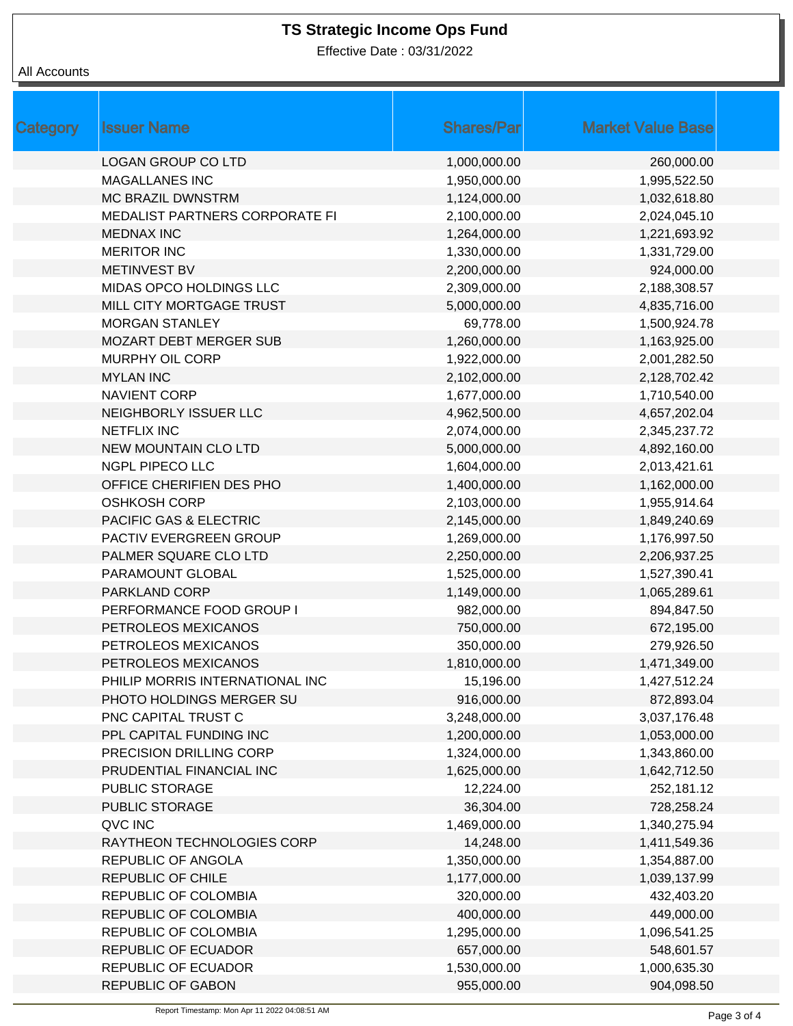Effective Date : 03/31/2022

| <b>Category</b> | <b>Issuer Name</b>              | <b>Shares/Par</b> | <b>Market Value Base</b> |
|-----------------|---------------------------------|-------------------|--------------------------|
|                 | LOGAN GROUP CO LTD              | 1,000,000.00      | 260,000.00               |
|                 | <b>MAGALLANES INC</b>           | 1,950,000.00      | 1,995,522.50             |
|                 | <b>MC BRAZIL DWNSTRM</b>        | 1,124,000.00      | 1,032,618.80             |
|                 | MEDALIST PARTNERS CORPORATE FI  | 2,100,000.00      | 2,024,045.10             |
|                 | <b>MEDNAX INC</b>               | 1,264,000.00      | 1,221,693.92             |
|                 | <b>MERITOR INC</b>              | 1,330,000.00      | 1,331,729.00             |
|                 | <b>METINVEST BV</b>             | 2,200,000.00      | 924,000.00               |
|                 | MIDAS OPCO HOLDINGS LLC         | 2,309,000.00      | 2,188,308.57             |
|                 | MILL CITY MORTGAGE TRUST        | 5,000,000.00      | 4,835,716.00             |
|                 | <b>MORGAN STANLEY</b>           | 69,778.00         | 1,500,924.78             |
|                 | <b>MOZART DEBT MERGER SUB</b>   | 1,260,000.00      | 1,163,925.00             |
|                 | <b>MURPHY OIL CORP</b>          | 1,922,000.00      | 2,001,282.50             |
|                 | <b>MYLAN INC</b>                | 2,102,000.00      | 2,128,702.42             |
|                 | <b>NAVIENT CORP</b>             | 1,677,000.00      | 1,710,540.00             |
|                 | NEIGHBORLY ISSUER LLC           | 4,962,500.00      | 4,657,202.04             |
|                 | <b>NETFLIX INC</b>              | 2,074,000.00      | 2,345,237.72             |
|                 | <b>NEW MOUNTAIN CLO LTD</b>     | 5,000,000.00      | 4,892,160.00             |
|                 | <b>NGPL PIPECO LLC</b>          | 1,604,000.00      | 2,013,421.61             |
|                 | OFFICE CHERIFIEN DES PHO        | 1,400,000.00      | 1,162,000.00             |
|                 | <b>OSHKOSH CORP</b>             | 2,103,000.00      | 1,955,914.64             |
|                 | PACIFIC GAS & ELECTRIC          | 2,145,000.00      | 1,849,240.69             |
|                 | PACTIV EVERGREEN GROUP          | 1,269,000.00      | 1,176,997.50             |
|                 | PALMER SQUARE CLO LTD           | 2,250,000.00      | 2,206,937.25             |
|                 | PARAMOUNT GLOBAL                | 1,525,000.00      | 1,527,390.41             |
|                 | PARKLAND CORP                   | 1,149,000.00      | 1,065,289.61             |
|                 | PERFORMANCE FOOD GROUP I        | 982,000.00        | 894,847.50               |
|                 | PETROLEOS MEXICANOS             | 750,000.00        | 672,195.00               |
|                 | PETROLEOS MEXICANOS             | 350,000.00        | 279,926.50               |
|                 | PETROLEOS MEXICANOS             | 1,810,000.00      | 1,471,349.00             |
|                 | PHILIP MORRIS INTERNATIONAL INC | 15,196.00         | 1,427,512.24             |
|                 | PHOTO HOLDINGS MERGER SU        | 916,000.00        | 872,893.04               |
|                 | PNC CAPITAL TRUST C             | 3,248,000.00      | 3,037,176.48             |
|                 | PPL CAPITAL FUNDING INC         | 1,200,000.00      | 1,053,000.00             |
|                 | PRECISION DRILLING CORP         | 1,324,000.00      | 1,343,860.00             |
|                 | PRUDENTIAL FINANCIAL INC        | 1,625,000.00      | 1,642,712.50             |
|                 | PUBLIC STORAGE                  | 12,224.00         | 252,181.12               |
|                 | <b>PUBLIC STORAGE</b>           | 36,304.00         | 728,258.24               |
|                 | QVC INC                         | 1,469,000.00      | 1,340,275.94             |
|                 | RAYTHEON TECHNOLOGIES CORP      | 14,248.00         | 1,411,549.36             |
|                 | REPUBLIC OF ANGOLA              | 1,350,000.00      | 1,354,887.00             |
|                 | REPUBLIC OF CHILE               | 1,177,000.00      | 1,039,137.99             |
|                 | REPUBLIC OF COLOMBIA            | 320,000.00        | 432,403.20               |
|                 | REPUBLIC OF COLOMBIA            | 400,000.00        | 449,000.00               |
|                 | REPUBLIC OF COLOMBIA            | 1,295,000.00      | 1,096,541.25             |
|                 | <b>REPUBLIC OF ECUADOR</b>      | 657,000.00        | 548,601.57               |
|                 | <b>REPUBLIC OF ECUADOR</b>      | 1,530,000.00      | 1,000,635.30             |
|                 | <b>REPUBLIC OF GABON</b>        | 955,000.00        | 904,098.50               |